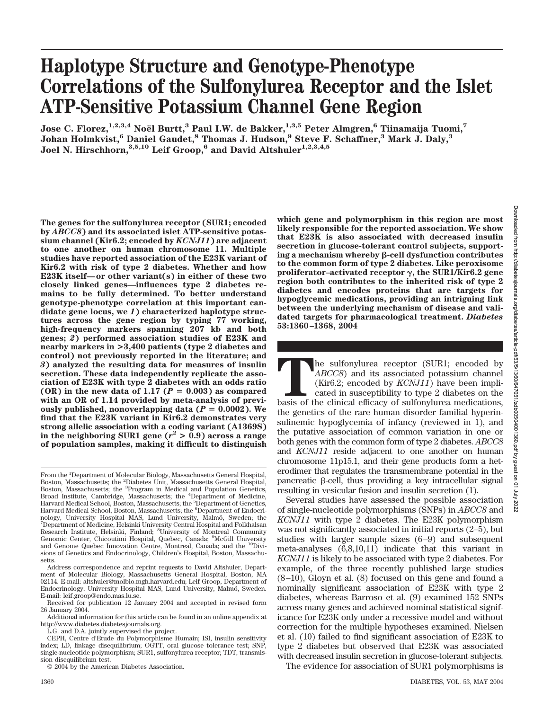# **Haplotype Structure and Genotype-Phenotype Correlations of the Sulfonylurea Receptor and the Islet ATP-Sensitive Potassium Channel Gene Region**

 $J$ ose C. Florez,<sup>1,2,3,4</sup> Noël Burtt,<sup>3</sup> Paul I.W. de Bakker,<sup>1,3,5</sup> Peter Almgren,<sup>6</sup> Tiinamaija Tuomi,<sup>7</sup> **Johan Holmkvist,6 Daniel Gaudet,8 Thomas J. Hudson,9 Steve F. Schaffner,3 Mark J. Daly,3** Joel N. Hirschhorn,<sup>3,5,10</sup> Leif Groop,<sup>6</sup> and David Altshuler<sup>1,2,3,4,5</sup>

**The genes for the sulfonylurea receptor (SUR1; encoded by** *ABCC8***) and its associated islet ATP-sensitive potassium channel (Kir6.2; encoded by** *KCNJ11***) are adjacent to one another on human chromosome 11. Multiple studies have reported association of the E23K variant of Kir6.2 with risk of type 2 diabetes. Whether and how E23K itself—or other variant(s) in either of these two closely linked genes—influences type 2 diabetes remains to be fully determined. To better understand genotype-phenotype correlation at this important candidate gene locus, we** *1***) characterized haplotype structures across the gene region by typing 77 working, high-frequency markers spanning 207 kb and both genes;** *2***) performed association studies of E23K and nearby markers in >3,400 patients (type 2 diabetes and control) not previously reported in the literature; and** *3***) analyzed the resulting data for measures of insulin secretion. These data independently replicate the association of E23K with type 2 diabetes with an odds ratio** (OR) in the new data of 1.17 ( $P = 0.003$ ) as compared **with an OR of 1.14 provided by meta-analysis of previ**ously published, nonoverlapping data  $(P = 0.0002)$ . We **find that the E23K variant in Kir6.2 demonstrates very strong allelic association with a coding variant (A1369S)** in the neighboring SUR1 gene  $(r^2 > 0.9)$  across a range **of population samples, making it difficult to distinguish**

Address correspondence and reprint requests to David Altshuler, Department of Molecular Biology, Massachusetts General Hospital, Boston, MA 02114. E-mail: altshuler@molbio.mgh.harvard.edu; Leif Groop, Department of Endocrinology, University Hospital MAS, Lund University, Malmö, Sweden. E-mail: leif.groop@endo.mas.lu.se.

© 2004 by the American Diabetes Association.

**which gene and polymorphism in this region are most likely responsible for the reported association. We show that E23K is also associated with decreased insulin secretion in glucose-tolerant control subjects, support**ing a mechanism whereby β-cell dysfunction contributes **to the common form of type 2 diabetes. Like peroxisome** proliferator-activated receptor  $\gamma$ , the SUR1/Kir6.2 gene **region both contributes to the inherited risk of type 2 diabetes and encodes proteins that are targets for hypoglycemic medications, providing an intriguing link between the underlying mechanism of disease and validated targets for pharmacological treatment.** *Diabetes* **53:1360–1368, 2004**

The sulfonylurea receptor (SUR1; encoded by *ABCC8*) and its associated potassium channel (Kir6.2; encoded by *KCNJ11*) have been implicated in susceptibility to type 2 diabetes on the basis of the clinical efficacy of sul *ABCC8*) and its associated potassium channel (Kir6.2; encoded by *KCNJ11*) have been implicated in susceptibility to type 2 diabetes on the the genetics of the rare human disorder familial hyperinsulinemic hypoglycemia of infancy (reviewed in 1), and the putative association of common variation in one or both genes with the common form of type 2 diabetes. *ABCC8* and *KCNJ11* reside adjacent to one another on human chromosome 11p15.1, and their gene products form a heterodimer that regulates the transmembrane potential in the pancreatic  $\beta$ -cell, thus providing a key intracellular signal resulting in vesicular fusion and insulin secretion (1).

Several studies have assessed the possible association of single-nucleotide polymorphisms (SNPs) in *ABCC8* and *KCNJ11* with type 2 diabetes. The E23K polymorphism was not significantly associated in initial reports (2–5), but studies with larger sample sizes (6–9) and subsequent meta-analyses (6,8,10,11) indicate that this variant in *KCNJ11* is likely to be associated with type 2 diabetes. For example, of the three recently published large studies (8–10), Gloyn et al. (8) focused on this gene and found a nominally significant association of E23K with type 2 diabetes, whereas Barroso et al. (9) examined 152 SNPs across many genes and achieved nominal statistical significance for E23K only under a recessive model and without correction for the multiple hypotheses examined. Nielsen et al. (10) failed to find significant association of E23K to type 2 diabetes but observed that E23K was associated with decreased insulin secretion in glucose-tolerant subjects. The evidence for association of SUR1 polymorphisms is

From the <sup>1</sup>Department of Molecular Biology, Massachusetts General Hospital, Boston, Massachusetts; the <sup>2</sup>Diabetes Unit, Massachusetts General Hospital, Boston, Massachusetts; the <sup>3</sup>Program in Medical and Population Genetics, Broad Institute, Cambridge, Massachusetts; the <sup>4</sup>Department of Medicine, Harvard Medical School, Boston, Massachusetts; the <sup>5</sup>Department of Genetics, Harvard Medical School, Boston, Massachusetts; the <sup>6</sup>Department of Endocrinology, University Hospital MAS, Lund University, Malmö, Sweden; the Department of Medicine, Helsinki University Central Hospital and Folkhalsan Research Institute, Helsinki, Finland; <sup>8</sup>University of Montreal Community Genomic Center, Chicoutimi Hospital, Quebec, Canada; <sup>9</sup>McGill University and Genome Quebec Innovation Centre, Montreal, Canada; and the <sup>10</sup>Divisions of Genetics and Endocrinology, Children's Hospital, Boston, Massachusetts.

Received for publication 12 January 2004 and accepted in revised form 26 January 2004.

Additional information for this article can be found in an online appendix at http://www.diabetes.diabetesjournals.org.

L.G. and D.A. jointly supervised the project.

CEPH, Centre d'Etude du Polymorphisme Humain; ISI, insulin sensitivity index; LD, linkage disequilibrium; OGTT, oral glucose tolerance test; SNP, single-nucleotide polymorphism; SUR1, sulfonylurea receptor; TDT, transmission disequilibrium test.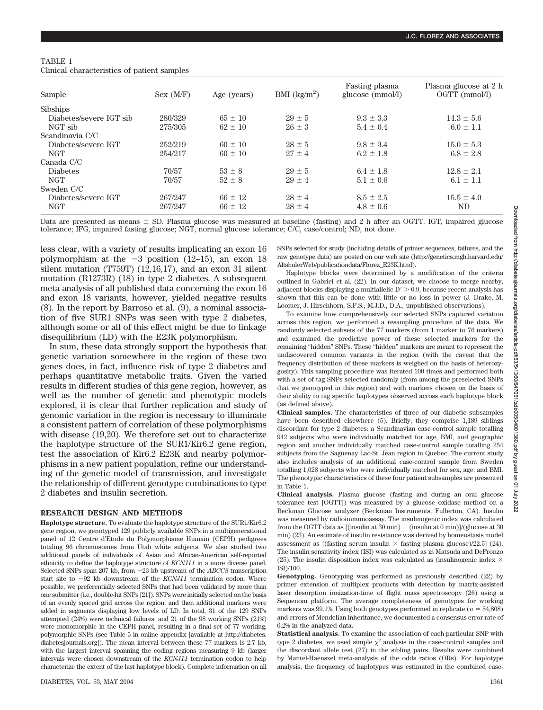| TABLE 1 |                                             |  |
|---------|---------------------------------------------|--|
|         | Clinical characteristics of patient samples |  |

| Sample                  | Sex (M/F) | Age (years) | BMI $\frac{\text{kg}}{\text{m}^2}$ | Fasting plasma<br>glucose (mmol/l) | Plasma glucose at 2 h<br>$OGTT$ (mmol/l) |
|-------------------------|-----------|-------------|------------------------------------|------------------------------------|------------------------------------------|
| Sibships                |           |             |                                    |                                    |                                          |
| Diabetes/severe IGT sib | 280/329   | $65 \pm 10$ | $29 + 5$                           | $9.3 \pm 3.3$                      | $14.3 \pm 5.6$                           |
| NGT sib                 | 275/305   | $62 \pm 10$ | $26 \pm 3$                         | $5.4 \pm 0.4$                      | $6.0 \pm 1.1$                            |
| Scandinavia C/C         |           |             |                                    |                                    |                                          |
| Diabetes/severe IGT     | 252/219   | $60 \pm 10$ | $28 \pm 5$                         | $9.8 \pm 3.4$                      | $15.0 \pm 5.3$                           |
| <b>NGT</b>              | 254/217   | $60 \pm 10$ | $27 \pm 4$                         | $6.2 \pm 1.8$                      | $6.8 \pm 2.8$                            |
| Canada C/C              |           |             |                                    |                                    |                                          |
| <b>Diabetes</b>         | 70/57     | $53 \pm 8$  | $29 \pm 5$                         | $6.4 \pm 1.8$                      | $12.8 \pm 2.1$                           |
| <b>NGT</b>              | 70/57     | $52 \pm 8$  | $29 \pm 4$                         | $5.1 \pm 0.6$                      | $6.1 \pm 1.1$                            |
| Sweden C/C              |           |             |                                    |                                    |                                          |
| Diabetes/severe IGT     | 267/247   | $66 \pm 12$ | $28 \pm 4$                         | $8.5 \pm 2.5$                      | $15.5 \pm 4.0$                           |
| <b>NGT</b>              | 267/247   | $66 \pm 12$ | $28 \pm 4$                         | $4.8 \pm 0.6$                      | ND                                       |

Data are presented as means  $\pm$  SD. Plasma glucose was measured at baseline (fasting) and 2 h after an OGTT. IGT, impaired glucose tolerance; IFG, impaired fasting glucose; NGT, normal glucose tolerance; C/C, case/control; ND, not done.

less clear, with a variety of results implicating an exon 16 polymorphism at the -3 position (12–15), an exon 18 silent mutation (T759T) (12,16,17), and an exon 31 silent mutation (R1273R) (18) in type 2 diabetes. A subsequent meta-analysis of all published data concerning the exon 16 and exon 18 variants, however, yielded negative results (8). In the report by Barroso et al. (9), a nominal association of five SUR1 SNPs was seen with type 2 diabetes, although some or all of this effect might be due to linkage disequilibrium (LD) with the E23K polymorphism.

In sum, these data strongly support the hypothesis that genetic variation somewhere in the region of these two genes does, in fact, influence risk of type 2 diabetes and perhaps quantitative metabolic traits. Given the varied results in different studies of this gene region, however, as well as the number of genetic and phenotypic models explored, it is clear that further replication and study of genomic variation in the region is necessary to illuminate a consistent pattern of correlation of these polymorphisms with disease (19,20). We therefore set out to characterize the haplotype structure of the SUR1/Kir6.2 gene region, test the association of Kir6.2 E23K and nearby polymorphisms in a new patient population, refine our understanding of the genetic model of transmission, and investigate the relationship of different genotype combinations to type 2 diabetes and insulin secretion.

## **RESEARCH DESIGN AND METHODS**

**Haplotype structure.** To evaluate the haplotype structure of the SUR1/Kir6.2 gene region, we genotyped 129 publicly available SNPs in a multigenerational panel of 12 Centre d'Etude du Polymorphisme Humain (CEPH) pedigrees totaling 96 chromosomes from Utah white subjects. We also studied two additional panels of individuals of Asian and African-American self-reported ethnicity to define the haplotype structure of *KCNJ11* in a more diverse panel. Selected SNPs span 207 kb, from  $\sim 23$  kb upstream of the *ABCC8* transcription start site to  $\sim 92$  kb downstream of the *KCNJ11* termination codon. Where possible, we preferentially selected SNPs that had been validated by more than one submitter (i.e., double-hit SNPs [21]). SNPs were initially selected on the basis of an evenly spaced grid across the region, and then additional markers were added in segments displaying low levels of LD. In total, 31 of the 129 SNPs attempted (24%) were technical failures, and 21 of the 98 working SNPs (21%) were monomorphic in the CEPH panel, resulting in a final set of 77 working, polymorphic SNPs (see Table 5 in online appendix [available at http://diabetes. diabetesjournals.org]). The mean interval between these 77 markers is 2.7 kb, with the largest interval spanning the coding regions measuring 9 kb (larger intervals were chosen downstream of the *KCNJ11* termination codon to help characterize the extent of the last haplotype block). Complete information on all

SNPs selected for study (including details of primer sequences, failures, and the raw genotype data) are posted on our web site (http://genetics.mgh.harvard.edu/ AltshulerWeb/publicationdata/Florez\_E23K.html).

Haplotype blocks were determined by a modification of the criteria outlined in Gabriel et al. (22). In our dataset, we choose to merge nearby, adjacent blocks displaying a multiallelic  $D' > 0.9$ , because recent analysis has shown that this can be done with little or no loss in power (J. Drake, M. Loomer, J. Hirschhorn, S.F.S., M.J.D., D.A., unpublished observations).

To examine how comprehensively our selected SNPs captured variation across this region, we performed a resampling procedure of the data. We randomly selected subsets of the 77 markers (from 1 marker to 76 markers) and examined the predictive power of these selected markers for the remaining "hidden" SNPs. These "hidden" markers are meant to represent the undiscovered common variants in the region (with the caveat that the frequency distribution of these markers is weighed on the basis of heterozygosity). This sampling procedure was iterated 100 times and performed both with a set of tag SNPs selected randomly (from among the preselected SNPs that we genotyped in this region) and with markers chosen on the basis of their ability to tag specific haplotypes observed across each haplotype block (as defined above).

**Clinical samples.** The characteristics of three of our diabetic subsamples have been described elsewhere (5). Briefly, they comprise 1,189 siblings discordant for type 2 diabetes: a Scandinavian case-control sample totalling 942 subjects who were individually matched for age, BMI, and geographic region and another individually matched case-control sample totalling 254 subjects from the Saguenay Lac-St. Jean region in Quebec. The current study also includes analysis of an additional case-control sample from Sweden totalling 1,028 subjects who were individually matched for sex, age, and BMI. The phenotypic characteristics of these four patient subsamples are presented in Table 1.

**Clinical analysis.** Plasma glucose (fasting and during an oral glucose tolerance test [OGTT]) was measured by a glucose oxidase method on a Beckman Glucose analyzer (Beckman Instruments, Fullerton, CA). Insulin was measured by radioimmunoassay. The insulinogenic index was calculated from the OGTT data as  $[($ insulin at  $30$  min $) - ($ insulin at  $0$  min $)/($ glucose at  $30$ min) (23). An estimate of insulin resistance was derived by homeostasis model assessment as [(fasting serum insulin  $\times$  fasting plasma glucose)/22.5] (24). The insulin sensitivity index (ISI) was calculated as in Matsuda and DeFronzo (25). The insulin disposition index was calculated as (insulinogenic index  $\times$ ISI)/100.

**Genotyping.** Genotyping was performed as previously described (22) by primer extension of multiplex products with detection by matrix-assisted laser desorption ionization-time of flight mass spectroscopy (26) using a Sequenom platform. The average completeness of genotypes for working markers was 99.1%. Using both genotypes performed in replicate  $(n = 54,808)$ and errors of Mendelian inheritance, we documented a consensus error rate of 0.2% in the analyzed data.

**Statistical analysis.** To examine the association of each particular SNP with type 2 diabetes, we used simple  $\chi^2$  analysis in the case-control samples and the discordant allele test (27) in the sibling pairs. Results were combined by Mantel-Haenszel meta-analysis of the odds ratios (ORs). For haplotype analysis, the frequency of haplotypes was estimated in the combined case-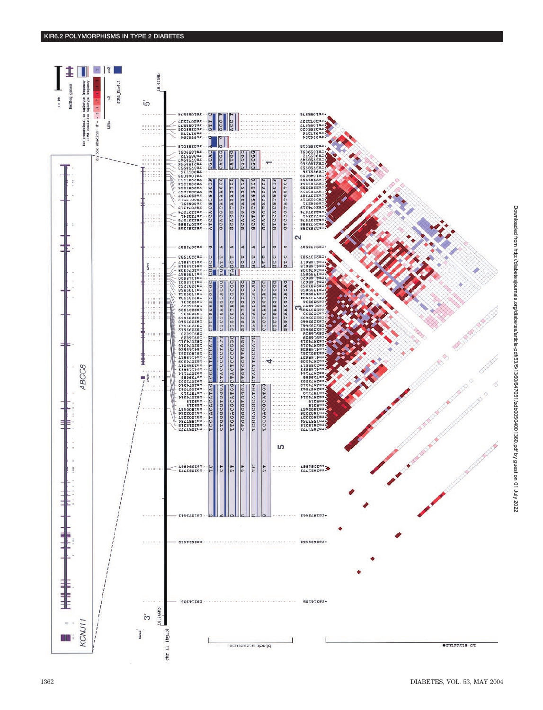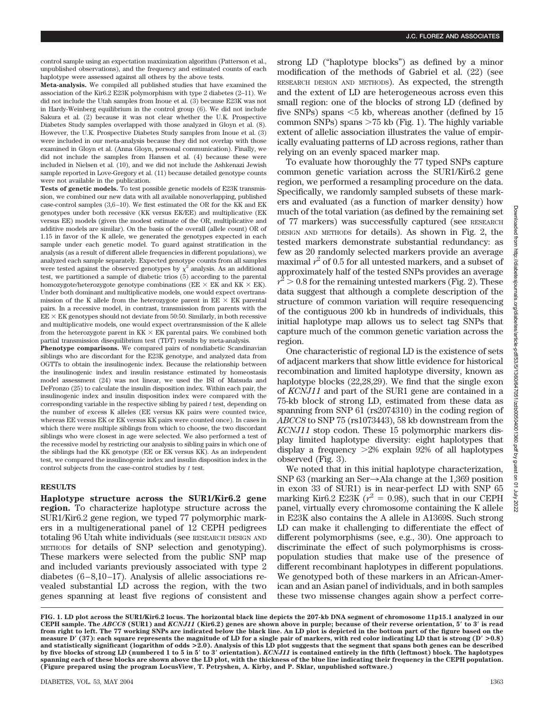control sample using an expectation maximization algorithm (Patterson et al., unpublished observations), and the frequency and estimated counts of each haplotype were assessed against all others by the above tests.

**Meta-analysis.** We compiled all published studies that have examined the association of the Kir6.2 E23K polymorphism with type 2 diabetes (2–11). We did not include the Utah samples from Inoue et al. (3) because E23K was not in Hardy-Weinberg equilibrium in the control group (6). We did not include Sakura et al. (2) because it was not clear whether the U.K. Prospective Diabetes Study samples overlapped with those analyzed in Gloyn et al. (8). However, the U.K. Prospective Diabetes Study samples from Inoue et al. (3) were included in our meta-analysis because they did not overlap with those examined in Gloyn et al. (Anna Gloyn, personal communication). Finally, we did not include the samples from Hansen et al. (4) because these were included in Nielsen et al. (10), and we did not include the Ashkenazi Jewish sample reported in Love-Gregory et al. (11) because detailed genotype counts were not available in the publication.

**Tests of genetic models.** To test possible genetic models of E23K transmission, we combined our new data with all available nonoverlapping, published case-control samples (3,6–10). We first estimated the OR for the KK and EK genotypes under both recessive (KK versus EK/EE) and multiplicative (EK versus EE) models (given the modest estimate of the OR, multiplicative and additive models are similar). On the basis of the overall (allele count) OR of 1.15 in favor of the K allele, we generated the genotypes expected in each sample under each genetic model. To guard against stratification in the analysis (as a result of different allele frequencies in different populations), we analyzed each sample separately. Expected genotype counts from all samples were tested against the observed genotypes by  $\chi^2$  analysis. As an additional test, we partitioned a sample of diabetic trios (5) according to the parental homozygote/heterozygote genotype combinations ( $EE \times EX$  and  $KK \times EK$ ). Under both dominant and multiplicative models, one would expect overtransmission of the K allele from the heterozygote parent in  $EE \times EK$  parental pairs. In a recessive model, in contrast, transmission from parents with the  $EE \times EK$  genotypes should not deviate from 50:50. Similarly, in both recessive and multiplicative models, one would expect overtransmission of the K allele from the heterozygote parent in  $KK \times E$ K parental pairs. We combined both partial transmission disequilibrium test (TDT) results by meta-analysis.

**Phenotype comparisons.** We compared pairs of nondiabetic Scandinavian siblings who are discordant for the E23K genotype, and analyzed data from OGTTs to obtain the insulinogenic index. Because the relationship between the insulinogenic index and insulin resistance estimated by homeostasis model assessment (24) was not linear, we used the ISI of Matsuda and DeFronzo (25) to calculate the insulin disposition index. Within each pair, the insulinogenic index and insulin disposition index were compared with the corresponding variable in the respective sibling by paired *t* test, depending on the number of excess K alleles (EE versus KK pairs were counted twice, whereas EE versus EK or EK versus KK pairs were counted once). In cases in which there were multiple siblings from which to choose, the two discordant siblings who were closest in age were selected. We also performed a test of the recessive model by restricting our analysis to sibling pairs in which one of the siblings had the KK genotype (EE or EK versus KK). As an independent test, we compared the insulinogenic index and insulin disposition index in the control subjects from the case-control studies by *t* test.

#### **RESULTS**

**Haplotype structure across the SUR1/Kir6.2 gene region.** To characterize haplotype structure across the SUR1/Kir6.2 gene region, we typed 77 polymorphic markers in a multigenerational panel of 12 CEPH pedigrees totaling 96 Utah white individuals (see RESEARCH DESIGN AND METHODS for details of SNP selection and genotyping). These markers were selected from the public SNP map and included variants previously associated with type 2 diabetes (6–8,10–17). Analysis of allelic associations revealed substantial LD across the region, with the two genes spanning at least five regions of consistent and

strong LD ("haplotype blocks") as defined by a minor modification of the methods of Gabriel et al. (22) (see RESEARCH DESIGN AND METHODS). As expected, the strength and the extent of LD are heterogeneous across even this small region: one of the blocks of strong LD (defined by five SNPs) spans 5 kb, whereas another (defined by 15 common SNPs) spans  $>75$  kb (Fig. 1). The highly variable extent of allelic association illustrates the value of empirically evaluating patterns of LD across regions, rather than relying on an evenly spaced marker map.

To evaluate how thoroughly the 77 typed SNPs capture common genetic variation across the SUR1/Kir6.2 gene region, we performed a resampling procedure on the data. Specifically, we randomly sampled subsets of these markers and evaluated (as a function of marker density) how much of the total variation (as defined by the remaining set of 77 markers) was successfully captured (see RESEARCH DESIGN AND METHODS for details). As shown in Fig. 2, the tested markers demonstrate substantial redundancy: as few as 20 randomly selected markers provide an average maximal  $r^2$  of 0.5 for all untested markers, and a subset of approximately half of the tested SNPs provides an average  $r^2 > 0.8$  for the remaining untested markers (Fig. 2). These data suggest that although a complete description of the structure of common variation will require resequencing of the contiguous 200 kb in hundreds of individuals, this initial haplotype map allows us to select tag SNPs that capture much of the common genetic variation across the region.

One characteristic of regional LD is the existence of sets of adjacent markers that show little evidence for historical recombination and limited haplotype diversity, known as haplotype blocks (22,28,29). We find that the single exon of *KCNJ11* and part of the SUR1 gene are contained in a 75-kb block of strong LD, estimated from these data as spanning from SNP 61 (rs2074310) in the coding region of *ABCC8* to SNP 75 (rs1073443), 58 kb downstream from the *KCNJ11* stop codon. These 15 polymorphic markers display limited haplotype diversity: eight haplotypes that display a frequency 2% explain 92% of all haplotypes observed (Fig. 3).

We noted that in this initial haplotype characterization, SNP 63 (marking an Ser $\rightarrow$ Ala change at the 1,369 position in exon 33 of SUR1) is in near-perfect LD with SNP 65 marking Kir6.2 E23K  $(r^2 = 0.98)$ , such that in our CEPH panel, virtually every chromosome containing the K allele in E23K also contains the A allele in A1369S. Such strong LD can make it challenging to differentiate the effect of different polymorphisms (see, e.g., 30). One approach to discriminate the effect of such polymorphisms is crosspopulation studies that make use of the presence of different recombinant haplotypes in different populations. We genotyped both of these markers in an African-American and an Asian panel of individuals, and in both samples these two missense changes again show a perfect corre-

**FIG. 1. LD plot across the SUR1/Kir6.2 locus. The horizontal black line depicts the 207-kb DNA segment of chromosome 11p15.1 analyzed in our CEPH sample. The** *ABCC8* **(SUR1) and** *KCNJ11* **(Kir6.2) genes are shown above in purple; because of their reverse orientation, 5 to 3 is read from right to left. The 77 working SNPs are indicated below the black line. An LD plot is depicted in the bottom part of the figure based on the measure D (37): each square represents the magnitude of LD for a single pair of markers, with red color indicating LD that is strong (D >0.8) and statistically significant (logarithm of odds >2.0). Analysis of this LD plot suggests that the segment that spans both genes can be described by five blocks of strong LD (numbered 1 to 5 in 5 to 3 orientation).** *KCNJ11* **is contained entirely in the fifth (leftmost) block. The haplotypes spanning each of these blocks are shown above the LD plot, with the thickness of the blue line indicating their frequency in the CEPH population. (Figure prepared using the program LocusView, T. Petryshen, A. Kirby, and P. Sklar, unpublished software.)**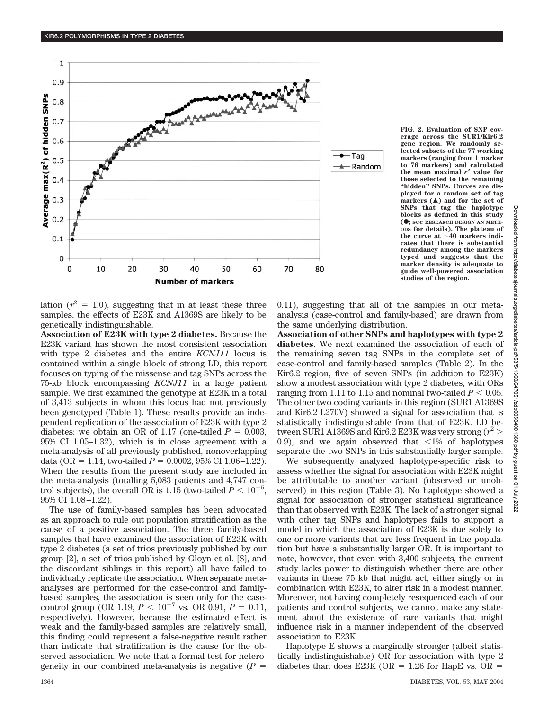

**FIG. 2. Evaluation of SNP coverage across the SUR1/Kir6.2 gene region. We randomly selected subsets of the 77 working markers (ranging from 1 marker to 76 markers) and calculated** the mean maximal  $r^2$  value for **those selected to the remaining "hidden" SNPs. Curves are displayed for a random set of tag markers (**Œ**) and for the set of SNPs that tag the haplotype blocks as defined in this study (0: see RESEARCH DESIGN AN METH-ODS for details). The plateau of** the curve at  $~1$  $~40$  markers indi**cates that there is substantial redundancy among the markers typed and suggests that the marker density is adequate to guide well-powered association studies of the region.**

lation  $(r^2 = 1.0)$ , suggesting that in at least these three samples, the effects of E23K and A1369S are likely to be genetically indistinguishable.

**Association of E23K with type 2 diabetes.** Because the E23K variant has shown the most consistent association with type 2 diabetes and the entire *KCNJ11* locus is contained within a single block of strong LD, this report focuses on typing of the missense and tag SNPs across the 75-kb block encompassing *KCNJ11* in a large patient sample. We first examined the genotype at E23K in a total of 3,413 subjects in whom this locus had not previously been genotyped (Table 1). These results provide an independent replication of the association of E23K with type 2 diabetes: we obtain an OR of 1.17 (one-tailed  $P = 0.003$ , 95% CI 1.05–1.32), which is in close agreement with a meta-analysis of all previously published, nonoverlapping data (OR = 1.14, two-tailed  $P = 0.0002$ , 95% CI 1.06–1.22). When the results from the present study are included in the meta-analysis (totalling 5,083 patients and 4,747 control subjects), the overall OR is 1.15 (two-tailed  $P < 10^{-5}$ , 95% CI 1.08–1.22).

The use of family-based samples has been advocated as an approach to rule out population stratification as the cause of a positive association. The three family-based samples that have examined the association of E23K with type 2 diabetes (a set of trios previously published by our group [2], a set of trios published by Gloyn et al. [8], and the discordant siblings in this report) all have failed to individually replicate the association. When separate metaanalyses are performed for the case-control and familybased samples, the association is seen only for the casecontrol group (OR 1.19,  $P < 10^{-7}$  vs. OR 0.91,  $P = 0.11$ , respectively). However, because the estimated effect is weak and the family-based samples are relatively small, this finding could represent a false-negative result rather than indicate that stratification is the cause for the observed association. We note that a formal test for heterogeneity in our combined meta-analysis is negative  $(P =$ 

0.11), suggesting that all of the samples in our metaanalysis (case-control and family-based) are drawn from the same underlying distribution.

**Association of other SNPs and haplotypes with type 2 diabetes.** We next examined the association of each of the remaining seven tag SNPs in the complete set of case-control and family-based samples (Table 2). In the Kir6.2 region, five of seven SNPs (in addition to E23K) show a modest association with type 2 diabetes, with ORs ranging from 1.11 to 1.15 and nominal two-tailed  $P < 0.05$ . The other two coding variants in this region (SUR1 A1369S and Kir6.2 L270V) showed a signal for association that is statistically indistinguishable from that of E23K. LD between SUR1 A1369S and Kir6.2 E23K was very strong  $(r^2>$ 0.9), and we again observed that  $\langle 1\%$  of haplotypes separate the two SNPs in this substantially larger sample.

We subsequently analyzed haplotype-specific risk to assess whether the signal for association with E23K might be attributable to another variant (observed or unobserved) in this region (Table 3). No haplotype showed a signal for association of stronger statistical significance than that observed with E23K. The lack of a stronger signal with other tag SNPs and haplotypes fails to support a model in which the association of E23K is due solely to one or more variants that are less frequent in the population but have a substantially larger OR. It is important to note, however, that even with 3,400 subjects, the current study lacks power to distinguish whether there are other variants in these 75 kb that might act, either singly or in combination with E23K, to alter risk in a modest manner. Moreover, not having completely resequenced each of our patients and control subjects, we cannot make any statement about the existence of rare variants that might influence risk in a manner independent of the observed association to E23K.

Haplotype E shows a marginally stronger (albeit statistically indistinguishable) OR for association with type 2 diabetes than does E23K (OR =  $1.26$  for HapE vs. OR =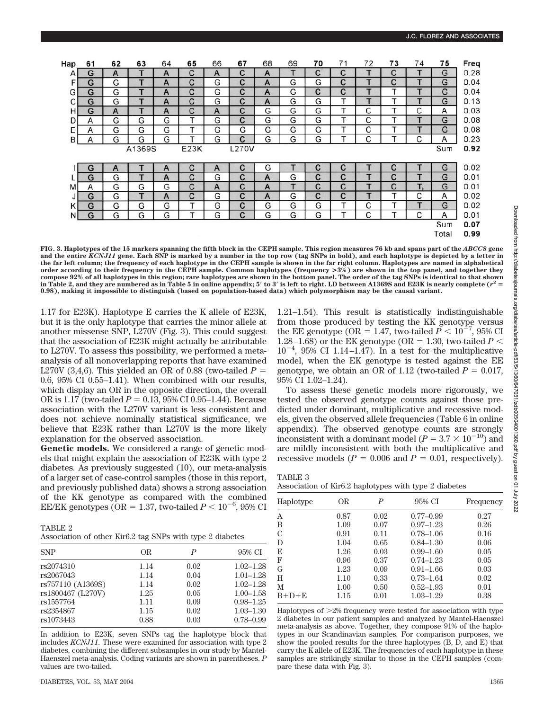| łap | 61 | 62 | 63     | 64 | 65          | 66 | 67           | 68 | 69 | 70           | 71           | 72 | 73           | 74 | 75    | Freq |
|-----|----|----|--------|----|-------------|----|--------------|----|----|--------------|--------------|----|--------------|----|-------|------|
| ΑI  | G  | A  |        | A  | C           | A  | C            | A  |    | C            | C            |    | C            |    | G     | 0.28 |
| F   | G  | G  |        | A  | C           | G  | $\mathbf{C}$ | A  | G  | G            | C            |    | C            |    | G     | 0.04 |
| G   | G  | G  |        | A  | C           | G  | C            | A  | G  | C            | C            |    |              |    | G     | 0.04 |
| C   | G  | G  |        | A  | C           | G  | $\mathbf{C}$ | A  | G  | G            |              |    |              |    | G     | 0.13 |
| нı  | G  | A  |        | A  | C           | A  | $\mathbf{C}$ | G  | G  | G            |              | С  |              | C  | Α     | 0.03 |
| D   | A  | G  | G      | G  | т           | G  | C            | G  | G  | G            |              | C  |              |    | G     | 0.08 |
| E   | A  | G  | G      | G  | т           | G  | G            | G  | G  | G            |              | C  |              |    | G     | 0.08 |
| B   | Α  | G  | G      | G  | т           | G  | C            | G  | G  | G            |              | С  |              | C  | Α     | 0.23 |
|     |    |    | A1369S |    | <b>E23K</b> |    | <b>L270V</b> |    |    |              |              |    |              |    | Sum   | 0.92 |
|     |    |    |        |    |             |    |              |    |    |              |              |    |              |    |       |      |
|     | G  | A  |        | A  | C           | A  | C            | G  |    | C            | C            |    | C            |    | G     | 0.02 |
|     | G  | G  |        | A  | C           | G  | C            | A  | G  | C            | C            |    | C            |    | G     | 0.01 |
| м   | Α  | G  | G      | G  | C           | A  | $\mathbf{C}$ | A  | т  | $\mathbf{C}$ | $\mathbf{C}$ |    | $\mathbf{C}$ |    | G     | 0.01 |
|     | G  | G  |        | A  | C           | G  | $\mathbf{C}$ | A  | G  | C            | C            | т  |              | C  | A     | 0.02 |
| κ   | G  | G  | G      | G  | т           | G  | $\mathbf{C}$ | G  | G  | G            |              | C  |              |    | G     | 0.02 |
| N   | G  | G  | G      | G  |             | G  | C            | G  | G  | G            |              | С  |              | C  | Α     | 0.01 |
|     |    |    |        |    |             |    |              |    |    |              |              |    |              |    | Sum   | 0.07 |
|     |    |    |        |    |             |    |              |    |    |              |              |    |              |    | Total | 0.99 |

**FIG. 3. Haplotypes of the 15 markers spanning the fifth block in the CEPH sample. This region measures 76 kb and spans part of the** *ABCC8* **gene and the entire** *KCNJ11* **gene. Each SNP is marked by a number in the top row (tag SNPs in bold), and each haplotype is depicted by a letter in the far left column; the frequency of each haplotype in the CEPH sample is shown in the far right column. Haplotypes are named in alphabetical order according to their frequency in the CEPH sample. Common haplotypes (frequency >3%) are shown in the top panel, and together they compose 92% of all haplotypes in this region; rare haplotypes are shown in the bottom panel. The order of the tag SNPs is identical to that shown** in Table 2, and they are numbered as in Table 5 in online appendix; 5' to 3' is left to right. LD between A1369S and E23K is nearly complete ( $r^2$  = **0.98), making it impossible to distinguish (based on population-based data) which polymorphism may be the causal variant.**

1.17 for E23K). Haplotype E carries the K allele of E23K, but it is the only haplotype that carries the minor allele at another missense SNP, L270V (Fig. 3). This could suggest that the association of E23K might actually be attributable to L270V. To assess this possibility, we performed a metaanalysis of all nonoverlapping reports that have examined L270V (3,4,6). This yielded an OR of 0.88 (two-tailed  $P =$ 0.6, 95% CI 0.55–1.41). When combined with our results, which display an OR in the opposite direction, the overall OR is 1.17 (two-tailed  $P = 0.13, 95\%$  CI 0.95–1.44). Because association with the L270V variant is less consistent and does not achieve nominally statistical significance, we believe that E23K rather than L270V is the more likely explanation for the observed association.

**Genetic models.** We considered a range of genetic models that might explain the association of E23K with type 2 diabetes. As previously suggested (10), our meta-analysis of a larger set of case-control samples (those in this report, and previously published data) shows a strong association of the KK genotype as compared with the combined EE/EK genotypes (OR = 1.37, two-tailed  $P < 10^{-6}$ , 95% CI

| TABLE 2 |  |
|---------|--|
|         |  |

ł

| Association of other Kir <sub>6.2</sub> tag SNPs with type 2 diabetes |  |  |  |  |  |
|-----------------------------------------------------------------------|--|--|--|--|--|
|-----------------------------------------------------------------------|--|--|--|--|--|

| 0R   | P    | 95% CI        |
|------|------|---------------|
| 1.14 | 0.02 | $1.02 - 1.28$ |
| 1.14 | 0.04 | $1.01 - 1.28$ |
| 1.14 | 0.02 | $1.02 - 1.28$ |
| 1.25 | 0.05 | $1.00 - 1.58$ |
| 1.11 | 0.09 | $0.98 - 1.25$ |
| 1.15 | 0.02 | $1.03 - 1.30$ |
| 0.88 | 0.03 | $0.78 - 0.99$ |
|      |      |               |

In addition to E23K, seven SNPs tag the haplotype block that includes *KCNJ11.* These were examined for association with type 2 diabetes, combining the different subsamples in our study by Mantel-Haenszel meta-analysis. Coding variants are shown in parentheses. *P* values are two-tailed.

1.21–1.54). This result is statistically indistinguishable from those produced by testing the KK genotype versus the EE genotype (OR = 1.47, two-tailed  $P \n\le 10^{-7}$ , 95% CI 1.28–1.68) or the EK genotype (OR = 1.30, two-tailed  $P \leq$  $10^{-4}$ , 95% CI 1.14–1.47). In a test for the multiplicative model, when the EK genotype is tested against the EE genotype, we obtain an OR of 1.12 (two-tailed  $P = 0.017$ , 95% CI 1.02–1.24).

To assess these genetic models more rigorously, we tested the observed genotype counts against those predicted under dominant, multiplicative and recessive models, given the observed allele frequencies (Table 6 in online appendix). The observed genotype counts are strongly inconsistent with a dominant model ( $P = 3.7 \times 10^{-10}$ ) and are mildly inconsistent with both the multiplicative and recessive models  $(P = 0.006$  and  $P = 0.01$ , respectively).

| TABLE 3                                                           |  |  |  |  |
|-------------------------------------------------------------------|--|--|--|--|
| Association of Kir <sub>6.2</sub> haplotypes with type 2 diabetes |  |  |  |  |

| Haplotype | 0R       | P    | 95% CI        | Frequency |
|-----------|----------|------|---------------|-----------|
| A         | 0.87     | 0.02 | $0.77 - 0.99$ | 0.27      |
| B         | 1.09     | 0.07 | $0.97 - 1.23$ | 0.26      |
| C         | 0.91     | 0.11 | $0.78 - 1.06$ | 0.16      |
| D         | 1.04     | 0.65 | $0.84 - 1.30$ | 0.06      |
| E         | 1.26     | 0.03 | $0.99 - 1.60$ | 0.05      |
| F         | 0.96     | 0.37 | $0.74 - 1.23$ | 0.05      |
| G         | 1.23     | 0.09 | $0.91 - 1.66$ | 0.03      |
| H         | 1.10     | 0.33 | $0.73 - 1.64$ | 0.02      |
| M         | $1.00\,$ | 0.50 | $0.52 - 1.93$ | 0.01      |
| $B+D+E$   | $1.15\,$ | 0.01 | $1.03 - 1.29$ | 0.38      |

Haplotypes of  $>2\%$  frequency were tested for association with type 2 diabetes in our patient samples and analyzed by Mantel-Haenszel meta-analysis as above. Together, they compose 91% of the haplotypes in our Scandinavian samples. For comparison purposes, we show the pooled results for the three haplotypes (B, D, and E) that carry the K allele of E23K. The frequencies of each haplotype in these samples are strikingly similar to those in the CEPH samples (compare these data with Fig. 3).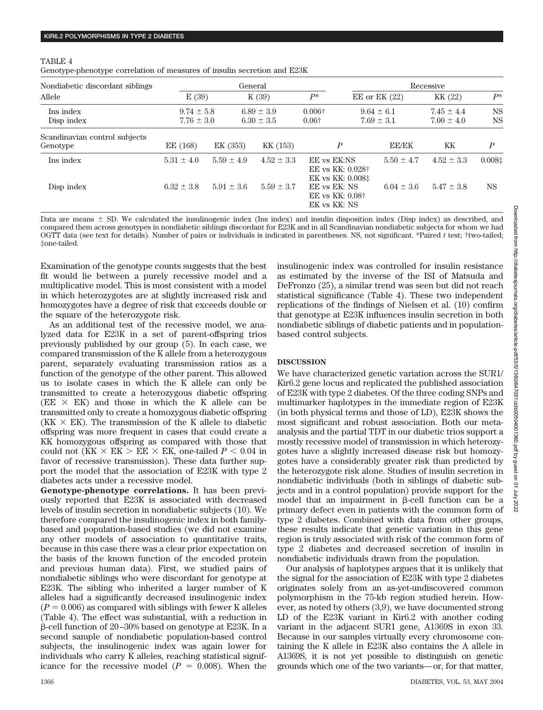| TABLE 4                                                                  |  |  |  |
|--------------------------------------------------------------------------|--|--|--|
| Genotype-phenotype correlation of measures of insulin secretion and E23K |  |  |  |

| Nondiabetic discordant siblings           |                                  | General        |                                  |  |                                                            | Recessive        |                                  |                        |  |  |
|-------------------------------------------|----------------------------------|----------------|----------------------------------|--|------------------------------------------------------------|------------------|----------------------------------|------------------------|--|--|
| Allele                                    | E(39)                            |                | K(39)                            |  |                                                            | $EE$ or $EK(22)$ | KK (22)                          | $P^*$                  |  |  |
| Ins index<br>Disp index                   | $9.74 \pm 5.8$<br>$7.76 \pm 3.0$ |                | $6.89 \pm 3.9$<br>$6.30 \pm 3.5$ |  | $9.64 \pm 6.1$<br>$7.69 \pm 3.1$                           |                  | $7.45 \pm 4.4$<br>$7.00 \pm 4.0$ | <b>NS</b><br><b>NS</b> |  |  |
| Scandinavian control subjects<br>Genotype | EE (168)                         | EK (353)       | KK (153)                         |  | $\boldsymbol{P}$                                           | <b>EE/EK</b>     | KK                               | $\boldsymbol{P}$       |  |  |
| Ins index                                 | $5.31 \pm 4.0$                   | $5.59 \pm 4.9$ | $4.52 \pm 3.3$                   |  | <b>EE vs EK:NS</b><br>EE vs KK: 0.028†<br>EK vs KK: 0.008‡ | $5.50 \pm 4.7$   | $4.52 \pm 3.3$                   | $0.008$ ‡              |  |  |
| Disp index                                | $6.32 \pm 3.8$                   | $5.91 \pm 3.6$ | $5.59 \pm 3.7$                   |  | EE vs EK: NS<br>$EE$ vs $KK: 0.08+$<br>EK vs KK: NS        | $6.04 \pm 3.6$   | $5.47 + 3.8$                     | <b>NS</b>              |  |  |

Data are means  $\pm$  SD. We calculated the insulinogenic index (Ins index) and insulin disposition index (Disp index) as described, and compared them across genotypes in nondiabetic siblings discordant for E23K and in all Scandinavian nondiabetic subjects for whom we had OGTT data (see text for details). Number of pairs or individuals is indicated in parentheses. NS, not significant. \*Paired *t* test; †two-tailed; ‡one-tailed.

Examination of the genotype counts suggests that the best fit would lie between a purely recessive model and a multiplicative model. This is most consistent with a model in which heterozygotes are at slightly increased risk and homozygotes have a degree of risk that exceeds double or the square of the heterozygote risk.

As an additional test of the recessive model, we analyzed data for E23K in a set of parent-offspring trios previously published by our group (5). In each case, we compared transmission of the K allele from a heterozygous parent, separately evaluating transmission ratios as a function of the genotype of the other parent. This allowed us to isolate cases in which the K allele can only be transmitted to create a heterozygous diabetic offspring  $(EE \times EK)$  and those in which the K allele can be transmitted only to create a homozygous diabetic offspring (KK  $\times$  EK). The transmission of the K allele to diabetic offspring was more frequent in cases that could create a KK homozygous offspring as compared with those that could not ( $KK \times EK > EE \times EK$ , one-tailed  $P < 0.04$  in favor of recessive transmission). These data further support the model that the association of E23K with type 2 diabetes acts under a recessive model.

**Genotype-phenotype correlations.** It has been previously reported that E23K is associated with decreased levels of insulin secretion in nondiabetic subjects (10). We therefore compared the insulinogenic index in both familybased and population-based studies (we did not examine any other models of association to quantitative traits, because in this case there was a clear prior expectation on the basis of the known function of the encoded protein and previous human data). First, we studied pairs of nondiabetic siblings who were discordant for genotype at E23K. The sibling who inherited a larger number of K alleles had a significantly decreased insulinogenic index  $(P = 0.006)$  as compared with siblings with fewer K alleles (Table 4). The effect was substantial, with a reduction in -cell function of 20–30% based on genotype at E23K. In a second sample of nondiabetic population-based control subjects, the insulinogenic index was again lower for individuals who carry K alleles, reaching statistical significance for the recessive model  $(P = 0.008)$ . When the

insulinogenic index was controlled for insulin resistance as estimated by the inverse of the ISI of Matsuda and DeFronzo (25), a similar trend was seen but did not reach statistical significance (Table 4). These two independent replications of the findings of Nielsen et al. (10) confirm that genotype at E23K influences insulin secretion in both nondiabetic siblings of diabetic patients and in populationbased control subjects.

#### **DISCUSSION**

We have characterized genetic variation across the SUR1/ Kir6.2 gene locus and replicated the published association of E23K with type 2 diabetes. Of the three coding SNPs and multimarker haplotypes in the immediate region of E23K (in both physical terms and those of LD), E23K shows the most significant and robust association. Both our metaanalysis and the partial TDT in our diabetic trios support a mostly recessive model of transmission in which heterozygotes have a slightly increased disease risk but homozygotes have a considerably greater risk than predicted by the heterozygote risk alone. Studies of insulin secretion in nondiabetic individuals (both in siblings of diabetic subjects and in a control population) provide support for the model that an impairment in  $\beta$ -cell function can be a primary defect even in patients with the common form of type 2 diabetes. Combined with data from other groups, these results indicate that genetic variation in this gene region is truly associated with risk of the common form of type 2 diabetes and decreased secretion of insulin in nondiabetic individuals drawn from the population.

Our analysis of haplotypes argues that it is unlikely that the signal for the association of E23K with type 2 diabetes originates solely from an as-yet-undiscovered common polymorphism in the 75-kb region studied herein. However, as noted by others (3,9), we have documented strong LD of the E23K variant in Kir6.2 with another coding variant in the adjacent SUR1 gene, A1369S in exon 33. Because in our samples virtually every chromosome containing the K allele in E23K also contains the A allele in A1369S, it is not yet possible to distinguish on genetic grounds which one of the two variants—or, for that matter,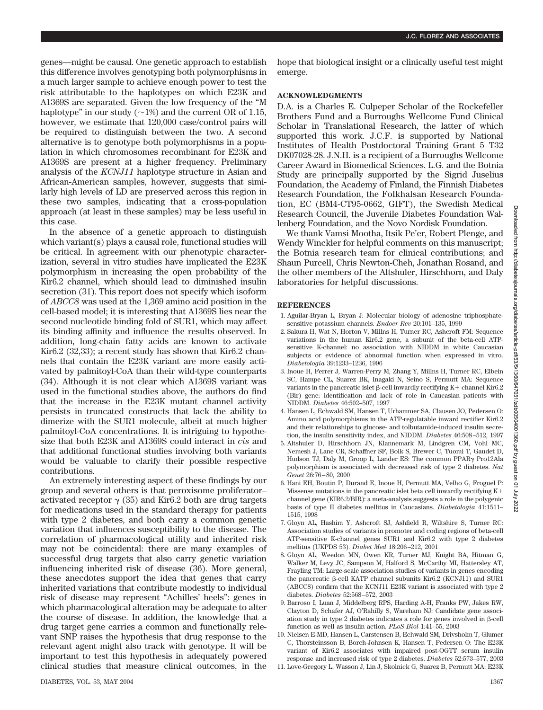**J.C. FLOREZ AND ASSOCIATES**

genes—might be causal. One genetic approach to establish this difference involves genotyping both polymorphisms in a much larger sample to achieve enough power to test the risk attributable to the haplotypes on which E23K and A1369S are separated. Given the low frequency of the "M haplotype" in our study  $(\sim 1\%)$  and the current OR of 1.15, however, we estimate that 120,000 case/control pairs will be required to distinguish between the two. A second alternative is to genotype both polymorphisms in a population in which chromosomes recombinant for E23K and A1369S are present at a higher frequency. Preliminary analysis of the *KCNJ11* haplotype structure in Asian and African-American samples, however, suggests that similarly high levels of LD are preserved across this region in these two samples, indicating that a cross-population approach (at least in these samples) may be less useful in this case.

In the absence of a genetic approach to distinguish which variant(s) plays a causal role, functional studies will be critical. In agreement with our phenotypic characterization, several in vitro studies have implicated the E23K polymorphism in increasing the open probability of the Kir6.2 channel, which should lead to diminished insulin secretion (31). This report does not specify which isoform of *ABCC8* was used at the 1,369 amino acid position in the cell-based model; it is interesting that A1369S lies near the second nucleotide binding fold of SUR1, which may affect its binding affinity and influence the results observed. In addition, long-chain fatty acids are known to activate Kir<sub>6.2</sub> (32,33); a recent study has shown that Kir<sub>6.2</sub> channels that contain the E23K variant are more easily activated by palmitoyl-CoA than their wild-type counterparts (34). Although it is not clear which A1369S variant was used in the functional studies above, the authors do find that the increase in the E23K mutant channel activity persists in truncated constructs that lack the ability to dimerize with the SUR1 molecule, albeit at much higher palmitoyl-CoA concentrations. It is intriguing to hypothesize that both E23K and A1369S could interact in *cis* and that additional functional studies involving both variants would be valuable to clarify their possible respective contributions.

An extremely interesting aspect of these findings by our group and several others is that peroxisome proliferator– activated receptor  $\gamma$  (35) and Kir6.2 both are drug targets for medications used in the standard therapy for patients with type 2 diabetes, and both carry a common genetic variation that influences susceptibility to the disease. The correlation of pharmacological utility and inherited risk may not be coincidental: there are many examples of successful drug targets that also carry genetic variation influencing inherited risk of disease (36). More general, these anecdotes support the idea that genes that carry inherited variations that contribute modestly to individual risk of disease may represent "Achilles' heels": genes in which pharmacological alteration may be adequate to alter the course of disease. In addition, the knowledge that a drug target gene carries a common and functionally relevant SNP raises the hypothesis that drug response to the relevant agent might also track with genotype. It will be important to test this hypothesis in adequately powered clinical studies that measure clinical outcomes, in the

hope that biological insight or a clinically useful test might emerge.

### **ACKNOWLEDGMENTS**

D.A. is a Charles E. Culpeper Scholar of the Rockefeller Brothers Fund and a Burroughs Wellcome Fund Clinical Scholar in Translational Research, the latter of which supported this work. J.C.F. is supported by National Institutes of Health Postdoctoral Training Grant 5 T32 DK07028-28. J.N.H. is a recipient of a Burroughs Wellcome Career Award in Biomedical Sciences. L.G. and the Botnia Study are principally supported by the Sigrid Juselius Foundation, the Academy of Finland, the Finnish Diabetes Research Foundation, the Folkhalsan Research Foundation, EC (BM4-CT95-0662, GIFT), the Swedish Medical Research Council, the Juvenile Diabetes Foundation Wallenberg Foundation, and the Novo Nordisk Foundation.

We thank Vamsi Mootha, Itsik Pe'er, Robert Plenge, and Wendy Winckler for helpful comments on this manuscript; the Botnia research team for clinical contributions; and Shaun Purcell, Chris Newton-Cheh, Jonathan Rosand, and the other members of the Altshuler, Hirschhorn, and Daly laboratories for helpful discussions.

#### **REFERENCES**

- 1. Aguilar-Bryan L, Bryan J: Molecular biology of adenosine triphosphatesensitive potassium channels. *Endocr Rev* 20:101–135, 1999
- 2. Sakura H, Wat N, Horton V, Millns H, Turner RC, Ashcroft FM: Sequence variations in the human Kir6.2 gene, a subunit of the beta-cell ATPsensitive K-channel: no association with NIDDM in white Caucasian subjects or evidence of abnormal function when expressed in vitro. *Diabetologia* 39:1233–1236, 1996
- 3. Inoue H, Ferrer J, Warren-Perry M, Zhang Y, Millns H, Turner RC, Elbein SC, Hampe CL, Suarez BK, Inagaki N, Seino S, Permutt MA: Sequence variants in the pancreatic islet  $\beta$ -cell inwardly rectifying K + channel Kir6.2 (Bir) gene: identification and lack of role in Caucasian patients with NIDDM. *Diabetes* 46:502–507, 1997
- 4. Hansen L, Echwald SM, Hansen T, Urhammer SA, Clausen JO, Pedersen O: Amino acid polymorphisms in the ATP-regulatable inward rectifier Kir6.2 and their relationships to glucose- and tolbutamide-induced insulin secretion, the insulin sensitivity index, and NIDDM. *Diabetes* 46:508–512, 1997
- 5. Altshuler D, Hirschhorn JN, Klannemark M, Lindgren CM, Vohl MC, Nemesh J, Lane CR, Schaffner SF, Bolk S, Brewer C, Tuomi T, Gaudet D, Hudson TJ, Daly M, Groop L, Lander ES: The common PPAR<sub>Y</sub> Pro12Ala polymorphism is associated with decreased risk of type 2 diabetes. *Nat Genet* 26:76–80, 2000
- 6. Hani EH, Boutin P, Durand E, Inoue H, Permutt MA, Velho G, Froguel P: Missense mutations in the pancreatic islet beta cell inwardly rectifying K channel gene (KIR6.2/BIR): a meta-analysis suggests a role in the polygenic basis of type II diabetes mellitus in Caucasians. *Diabetologia* 41:1511– 1515, 1998
- 7. Gloyn AL, Hashim Y, Ashcroft SJ, Ashfield R, Wiltshire S, Turner RC: Association studies of variants in promoter and coding regions of beta-cell ATP-sensitive K-channel genes SUR1 and Kir6.2 with type 2 diabetes mellitus (UKPDS 53). *Diabet Med* 18:206–212, 2001
- 8. Gloyn AL, Weedon MN, Owen KR, Turner MJ, Knight BA, Hitman G, Walker M, Levy JC, Sampson M, Halford S, McCarthy MI, Hattersley AT, Frayling TM: Large-scale association studies of variants in genes encoding the pancreatic  $\beta$ -cell KATP channel subunits Kir6.2 (KCNJ11) and SUR1 (ABCC8) confirm that the KCNJ11 E23K variant is associated with type 2 diabetes. *Diabetes* 52:568–572, 2003
- 9. Barroso I, Luan J, Middelberg RPS, Harding A-H, Franks PW, Jakes RW, Clayton D, Schafer AJ, O'Rahilly S, Wareham NJ: Candidate gene association study in type 2 diabetes indicates a role for genes involved in  $\beta$ -cell function as well as insulin action. *PLoS Biol* 1:41–55, 2003
- 10. Nielsen E-MD, Hansen L, Carstensen B, Echwald SM, Drivsholm T, Glumer C, Thorsteinsson B, Borch-Johnsen K, Hansen T, Pedersen O: The E23K variant of Kir6.2 associates with impaired post-OGTT serum insulin response and increased risk of type 2 diabetes. *Diabetes* 52:573–577, 2003
- 11. Love-Gregory L, Wasson J, Lin J, Skolnick G, Suarez B, Permutt MA: E23K